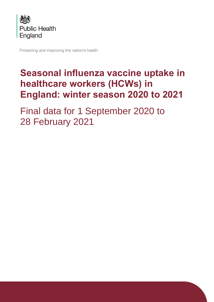

Protecting and improving the nation's health

# **Seasonal influenza vaccine uptake in healthcare workers (HCWs) in England: winter season 2020 to 2021**

Final data for 1 September 2020 to 28 February 2021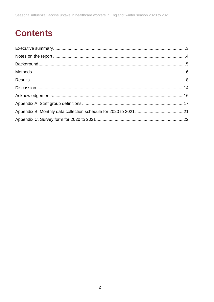# **Contents**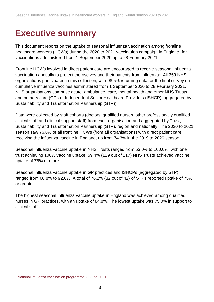# <span id="page-2-0"></span>**Executive summary**

This document reports on the uptake of seasonal influenza vaccination among frontline healthcare workers (HCWs) during the 2020 to 2021 vaccination campaign in England, for vaccinations administered from 1 September 2020 up to 28 February 2021.

Frontline HCWs involved in direct patient care are encouraged to receive seasonal influenza vaccination annually to protect themselves and their patients from influenza<sup>1</sup>. All 259 NHS organisations participated in this collection, with 98.5% returning data for the final survey on cumulative influenza vaccines administered from 1 September 2020 to 28 February 2021. NHS organisations comprise acute, ambulance, care, mental health and other NHS Trusts, and primary care (GPs or Independent Sector Healthcare Providers (ISHCP), aggregated by Sustainability and Transformation Partnership (STP)).

Data were collected by staff cohorts (doctors, qualified nurses, other professionally qualified clinical staff and clinical support staff) from each organisation and aggregated by Trust, Sustainability and Transformation Partnership (STP), region and nationally. The 2020 to 2021 season saw 76.8% of all frontline HCWs (from all organisations) with direct patient care receiving the influenza vaccine in England, up from 74.3% in the 2019 to 2020 season.

Seasonal influenza vaccine uptake in NHS Trusts ranged from 53.0% to 100.0%, with one trust achieving 100% vaccine uptake. 59.4% (129 out of 217) NHS Trusts achieved vaccine uptake of 75% or more.

Seasonal influenza vaccine uptake in GP practices and ISHCPs (aggregated by STP), ranged from 60.8% to 92.6%. A total of 76.2% (32 out of 42) of STPs reported uptake of 75% or greater.

The highest seasonal influenza vaccine uptake in England was achieved among qualified nurses in GP practices, with an uptake of 84.8%. The lowest uptake was 75.0% in support to clinical staff.

<sup>1</sup> [National influenza vaccination programme 2020 to 2021](https://www.england.nhs.uk/wp-content/uploads/2020/05/national-flu-immunisation-programme-2020-2021.pdf)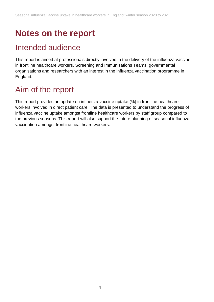## <span id="page-3-0"></span>**Notes on the report**

### Intended audience

This report is aimed at professionals directly involved in the delivery of the influenza vaccine in frontline healthcare workers, Screening and Immunisations Teams, governmental organisations and researchers with an interest in the influenza vaccination programme in England.

## Aim of the report

This report provides an update on influenza vaccine uptake (%) in frontline healthcare workers involved in direct patient care. The data is presented to understand the progress of influenza vaccine uptake amongst frontline healthcare workers by staff group compared to the previous seasons. This report will also support the future planning of seasonal influenza vaccination amongst frontline healthcare workers.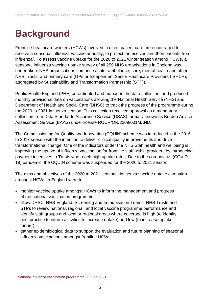# <span id="page-4-0"></span>**Background**

Frontline healthcare workers (HCWs) involved in direct patient care are encouraged to receive a seasonal influenza vaccine annually, to protect themselves and their patients from influenza<sup>2</sup>. To assess vaccine uptake for the 2020 to 2021 winter season among HCWs, a seasonal influenza vaccine uptake survey of all 259 NHS organisations in England was undertaken. NHS organisations comprise acute, ambulance, care, mental health and other NHS Trusts, and primary care (GPs or Independent Sector Healthcare Providers (ISHCP), aggregated by Sustainability and Transformation Partnership (STP)).

Public Health England (PHE) co-ordinated and managed the data collection, and produced monthly provisional data on vaccinations allowing the National Health Service (NHS) and Department of Health and Social Care (DHSC) to track the progress of the programme during the 2020 to 2021 influenza season. This collection received approval as a mandatory collection from Data Standards Assurance Service (DSAS) formally known as Burden Advice Assessment Service (BAAS) under license ROCR/OR/2209/001MAND.

The Commissioning for Quality and Innovation (CQUIN) scheme was introduced in the 2016 to 2017 season with the intention to deliver clinical quality improvements and drive transformational change. One of the indicators under the NHS Staff health and wellbeing is improving the uptake of influenza vaccination for frontline staff within providers by introducing payment incentives to Trusts who reach high uptake rates. Due to the coronavirus (COVID-19) pandemic, the CQUIN scheme was suspended for the 2020 to 2021 season.

The aims and objectives of the 2020 to 2021 seasonal influenza vaccine uptake campaign amongst HCWs in England were to:

- monitor vaccine uptake amongst HCWs to inform the management and progress of the national vaccination programme
- allow DHSC, NHS England, Screening and Immunisation Teams, NHS Trusts and STPs to review national, regional, and local vaccine programme performance and identify staff groups and local or regional areas where coverage is high (to identify best practice to inform activities to increase uptake) and low (to increase uptake further)
- gather epidemiological data to support the evaluation and future planning of seasonal influenza vaccinations amongst frontline HCWs

<sup>2</sup> [National influenza vaccination programme 2020 to 2021](https://www.england.nhs.uk/wp-content/uploads/2020/05/national-flu-immunisation-programme-2020-2021.pdf)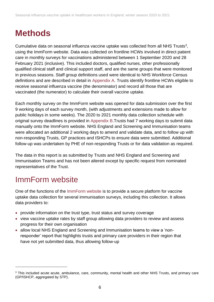## <span id="page-5-0"></span>**Methods**

Cumulative data on seasonal influenza vaccine uptake was collected from all NHS Trusts<sup>3</sup>, using the ImmForm website. Data was collected on frontline HCWs involved in direct patient care in monthly surveys for vaccinations administered between 1 September 2020 and 28 February 2021 (inclusive). This included doctors, qualified nurses, other professionally qualified clinical staff and clinical support staff, and are the same groups that were monitored in previous seasons. Staff group definitions used were identical to NHS Workforce Census definitions and are described in detail in [Appendix A.](#page-16-0) Trusts identify frontline HCWs eligible to receive seasonal influenza vaccine (the denominator) and record all those that are vaccinated (the numerator) to calculate their overall vaccine uptake.

Each monthly survey on the ImmForm website was opened for data submission over the first 9 working days of each survey month, (with adjustments and extensions made to allow for public holidays in some weeks). The 2020 to 2021 monthly data collection schedule with original survey deadlines is provided in [Appendix B.](#page-20-0)Trusts had 7 working days to submit data manually onto the ImmForm website. NHS England and Screening and Immunisation teams were allocated an additional 2 working days to amend and validate data, and to follow up with non-responding Trusts, GP practices and ISHCPs to ensure data were submitted. Additional follow-up was undertaken by PHE of non-responding Trusts or for data validation as required.

The data in this report is as submitted by Trusts and NHS England and Screening and Immunisation Teams and has not been altered except by specific request from nominated representatives of the Trust.

### ImmForm website

One of the functions of the [ImmForm website](https://portal.immform.phe.gov.uk/) is to provide a secure platform for vaccine uptake data collection for several immunisation surveys, including this collection. It allows data providers to:

- provide information on the trust type, trust status and survey coverage
- view vaccine uptake rates by staff group allowing data providers to review and assess progress for their own organisation
- allow local NHS England and Screening and Immunisation teams to view a 'nonresponder' report that highlights trusts and primary care providers in their region that have not yet submitted data, thus allowing follow-up

<sup>3</sup> This included acute acute, ambulance, care, community, mental health and other NHS Trusts, and primary care (GP/ISHCP, aggregated by STP).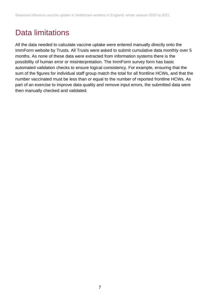### Data limitations

All the data needed to calculate vaccine uptake were entered manually directly onto the ImmForm website by Trusts. All Trusts were asked to submit cumulative data monthly over 5 months. As none of these data were extracted from information systems there is the possibility of human error or misinterpretation. The ImmForm survey form has basic automated validation checks to ensure logical consistency. For example, ensuring that the sum of the figures for individual staff group match the total for all frontline HCWs, and that the number vaccinated must be less than or equal to the number of reported frontline HCWs. As part of an exercise to improve data quality and remove input errors, the submitted data were then manually checked and validated.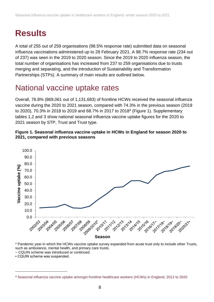# <span id="page-7-0"></span>**Results**

A total of 255 out of 259 organisations (98.5% response rate) submitted data on seasonal influenza vaccinations administered up to 28 February 2021. A 98.7% response rate (234 out of 237) was seen in the 2019 to 2020 season. Since the 2019 to 2020 influenza season, the total number of organisations has increased from 237 to 259 organisations due to trusts merging and separating, and the introduction of Sustainability and Transformation Partnerships (STPs). A summary of main results are outlined below.

### National vaccine uptake rates

Overall, 76.8% (869,061 out of 1,131,683) of frontline HCWs received the seasonal influenza vaccine during the 2020 to 2021 season, compared with 74.3% in the previous season (2019 to 2020), 70.3% in 2018 to 2019 and 68.7% in 2017 to 2018<sup>4</sup> (Figure 1). Supplementary tables 1,2 and 3 show national seasonal influenza vaccine uptake figures for the 2020 to 2021 season by STP, Trust and Trust type.





\* Pandemic year in which the HCWs vaccine uptake survey expanded from acute trust only to include other Trusts, such as ambulance, mental health, and primary care trusts.

~ CQUIN scheme was introduced or continued.

<sup>▪</sup> CQUIN scheme was suspended.

<sup>4</sup> [Seasonal influenza vaccine uptake amongst frontline healthcare workers \(HCWs\) in England, 2012 to 2020](http://www.gov.uk/government/collections/vaccine-uptake)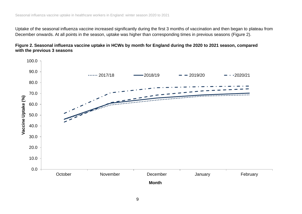Uptake of the seasonal influenza vaccine increased significantly during the first 3 months of vaccination and then began to plateau from December onwards. At all points in the season, uptake was higher than corresponding times in previous seasons (Figure 2).



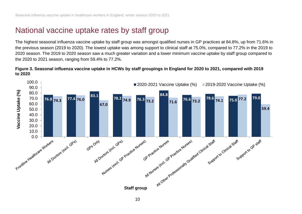### National vaccine uptake rates by staff group

The highest seasonal influenza vaccine uptake by staff group was amongst qualified nurses in GP practices at 84.8%, up from 71.6% in the previous season (2019 to 2020). The lowest uptake was among support to clinical staff at 75.0%, compared to 77.2% in the 2019 to 2020 season. The 2019 to 2020 season saw a much greater variation and a lower minimum vaccine uptake by staff group compared to the 2020 to 2021 season, ranging from 59.4% to 77.2%.

#### **Figure 3. Seasonal influenza vaccine uptake in HCWs by staff groupings in England for 2020 to 2021, compared with 2019 to 2020**

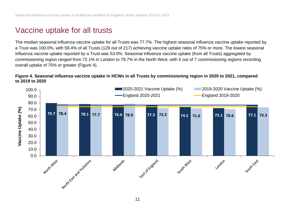### Vaccine uptake for all trusts

The median seasonal influenza vaccine uptake for all Trusts was 77.7%. The highest seasonal influenza vaccine uptake reported by a Trust was 100.0%, with 59.4% of all Trusts (129 out of 217) achieving vaccine uptake rates of 75% or more. The lowest seasonal influenza vaccine uptake reported by a Trust was 53.0%. Seasonal influenza vaccine uptake (from all Trusts) aggregated by commissioning region ranged from 72.1% in London to 79.7% in the North West, with 5 out of 7 commissioning regions recording overall uptake of 75% or greater (Figure 4).

#### **Figure 4. Seasonal influenza vaccine uptake in HCWs in all Trusts by commissioning region in 2020 to 2021, compared to 2019 to 2020**

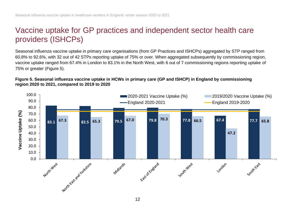### Vaccine uptake for GP practices and independent sector health care providers (ISHCPs)

Seasonal influenza vaccine uptake in primary care organisations (from GP Practices and ISHCPs) aggregated by STP ranged from 60.8% to 92.6%, with 32 out of 42 STPs reporting uptake of 75% or over. When aggregated subsequently by commissioning region, vaccine uptake ranged from 67.4% in London to 83.1% in the North West, with 6 out of 7 commissioning regions reporting uptake of 75% or greater (Figure 5).

#### **Figure 5. Seasonal influenza vaccine uptake in HCWs in primary care (GP and ISHCP) in England by commissioning region 2020 to 2021, compared to 2019 to 2020**

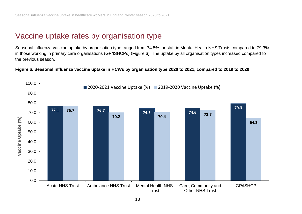### Vaccine uptake rates by organisation type

Seasonal influenza vaccine uptake by organisation type ranged from 74.5% for staff in Mental Health NHS Trusts compared to 79.3% in those working in primary care organisations (GP/ISHCPs) (Figure 6). The uptake by all organisation types increased compared to the previous season.

#### **Figure 6. Seasonal influenza vaccine uptake in HCWs by organisation type 2020 to 2021, compared to 2019 to 2020**

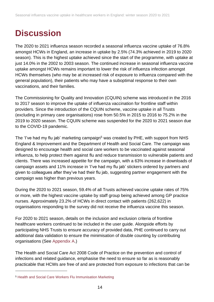# <span id="page-13-0"></span>**Discussion**

The 2020 to 2021 influenza season recorded a seasonal influenza vaccine uptake of 76.8% amongst HCWs in England, an increase in uptake by 2.5% (74.3% achieved in 2019 to 2020 season). This is the highest uptake achieved since the start of the programme, with uptake at just 14.0% in the 2002 to 2003 season. The continued increase in seasonal influenza vaccine uptake amongst HCWs remains important to lower the risk of influenza infection amongst HCWs themselves (who may be at increased risk of exposure to influenza compared with the general population), their patients who may have a suboptimal response to their own vaccinations, and their families.

The Commissioning for Quality and Innovation (CQUIN) scheme was introduced in the 2016 to 2017 season to improve the uptake of influenza vaccination for frontline staff within providers. Since the introduction of the CQUIN scheme, vaccine uptake in all Trusts (excluding in primary care organisations) rose from 50.5% in 2015 to 2016 to 75.2% in the 2019 to 2020 season. The CQUIN scheme was suspended for the 2020 to 2021 season due to the COVID-19 pandemic.

The 'I've had my flu jab' marketing campaign<sup>5</sup> was created by PHE, with support from NHS England & Improvement and the Department of Health and Social Care. The campaign was designed to encourage health and social care workers to be vaccinated against seasonal influenza, to help protect them against flu and reduce transmission to vulnerable patients and clients. There was increased appetite for the campaign, with a 63% increase in downloads of campaign assets and 11% increase in 'I've had my flu jab' stickers ordered by partners and given to colleagues after they've had their flu jab, suggesting partner engagement with the campaign was higher than previous years.

During the 2020 to 2021 season, 59.4% of all Trusts achieved vaccine uptake rates of 75% or more, with the highest vaccine uptake by staff group being achieved among GP practice nurses. Approximately 23.2% of HCWs in direct contact with patients (262,622) in organisations responding to the survey did not receive the influenza vaccine this season.

For 2020 to 2021 season, details on the inclusion and exclusion criteria of frontline healthcare workers continued to be included in the user guide. Alongside efforts by participating NHS Trusts to ensure accuracy of provided data, PHE continued to carry out additional data validation to ensure the minimisation of double counting by contributing organisations (See [Appendix A.](#page-16-0))

The Health and Social Care Act 2008 Code of Practice on the prevention and control of infections and related guidance, emphasise the need to ensure so far as is reasonably practicable that HCWs are free of and are protected from exposure to infections that can be

<sup>5</sup> [Health and Social Care Workers Flu Immunisation Marketing](https://campaignresources.phe.gov.uk/resources/campaigns/92-health-and-social-care-workers-flu-immunisation-/resources)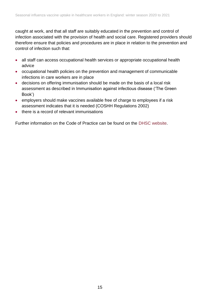caught at work, and that all staff are suitably educated in the prevention and control of infection associated with the provision of health and social care. Registered providers should therefore ensure that policies and procedures are in place in relation to the prevention and control of infection such that:

- all staff can access occupational health services or appropriate occupational health advice
- occupational health policies on the prevention and management of communicable infections in care workers are in place
- decisions on offering immunisation should be made on the basis of a local risk assessment as described in Immunisation against infectious disease ('The Green Book')
- employers should make vaccines available free of charge to employees if a risk assessment indicates that it is needed (COSHH Regulations 2002)
- there is a record of relevant immunisations

Further information on the Code of Practice can be found on the [DHSC website.](https://assets.publishing.service.gov.uk/government/uploads/system/uploads/attachment_data/file/151965/dh_123923.pdf.pdf)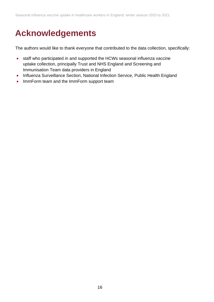## <span id="page-15-0"></span>**Acknowledgements**

The authors would like to thank everyone that contributed to the data collection, specifically:

- staff who participated in and supported the HCWs seasonal influenza vaccine uptake collection, principally Trust and NHS England and Screening and Immunisation Team data providers in England
- Influenza Surveillance Section, National Infection Service, Public Health England
- ImmForm team and the ImmForm support team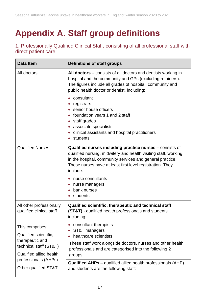# <span id="page-16-0"></span>**Appendix A. Staff group definitions**

1. Professionally Qualified Clinical Staff, consisting of all professional staff with direct patient care

| Data Item                                                                                                        | <b>Definitions of staff groups</b>                                                                                                                                                                                                                                  |  |  |
|------------------------------------------------------------------------------------------------------------------|---------------------------------------------------------------------------------------------------------------------------------------------------------------------------------------------------------------------------------------------------------------------|--|--|
| All doctors                                                                                                      | All doctors – consists of all doctors and dentists working in<br>hospital and the community and GPs (excluding retainers).<br>The figures include all grades of hospital, community and<br>public health doctor or dentist, including:<br>consultant                |  |  |
|                                                                                                                  | registrars<br>senior house officers<br>foundation years 1 and 2 staff<br>staff grades<br>associate specialists<br>clinical assistants and hospital practitioners<br>students                                                                                        |  |  |
| <b>Qualified Nurses</b>                                                                                          | Qualified nurses including practice nurses $-$ consists of<br>qualified nursing, midwifery and health visiting staff, working<br>in the hospital, community services and general practice.<br>These nurses have at least first level registration. They<br>include: |  |  |
|                                                                                                                  | nurse consultants<br>nurse managers<br>bank nurses<br>students                                                                                                                                                                                                      |  |  |
| All other professionally<br>qualified clinical staff                                                             | Qualified scientific, therapeutic and technical staff<br>(ST&T) - qualified health professionals and students<br>including:                                                                                                                                         |  |  |
| This comprises:<br>Qualified scientific,<br>therapeutic and<br>technical staff (ST&T)<br>Qualified allied health | consultant therapists<br>$\bullet$<br>ST&T managers<br>$\bullet$<br>healthcare scientists<br>These staff work alongside doctors, nurses and other health<br>professionals and are categorised into the following 2<br>groups:                                       |  |  |
| professionals (AHPs)<br>Other qualified ST&T                                                                     | <b>Qualified AHPs</b> – qualified allied health professionals (AHP)<br>and students are the following staff:                                                                                                                                                        |  |  |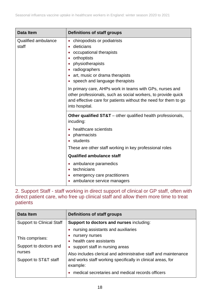| <b>Data Item</b>                    | <b>Definitions of staff groups</b>                                                                                                                                                                             |  |  |  |
|-------------------------------------|----------------------------------------------------------------------------------------------------------------------------------------------------------------------------------------------------------------|--|--|--|
| <b>Qualified ambulance</b><br>staff | chiropodists or podiatrists<br>$\bullet$<br>dieticians<br>occupational therapists<br>orthoptists<br>physiotherapists<br>radiographers<br>art, music or drama therapists<br>speech and language therapists      |  |  |  |
|                                     | In primary care, AHPs work in teams with GPs, nurses and<br>other professionals, such as social workers, to provide quick<br>and effective care for patients without the need for them to go<br>into hospital. |  |  |  |
|                                     | <b>Other qualified ST&amp;T</b> – other qualified health professionals,<br>incuding:<br>healthcare scientists<br>pharmacists<br>students                                                                       |  |  |  |
|                                     | These are other staff working in key professional roles                                                                                                                                                        |  |  |  |
|                                     | <b>Qualified ambulance staff</b>                                                                                                                                                                               |  |  |  |
|                                     | ambulance paramedics<br>technicians<br>emergency care practitioners<br>ambulance service managers                                                                                                              |  |  |  |

#### 2. Support Staff - staff working in direct support of clinical or GP staff, often with direct patient care, who free up clinical staff and allow them more time to treat patients

| <b>Data Item</b>                          | Definitions of staff groups                                                                                                                                                                    |  |  |
|-------------------------------------------|------------------------------------------------------------------------------------------------------------------------------------------------------------------------------------------------|--|--|
| <b>Support to Clinical Staff</b>          | <b>Support to doctors and nurses including:</b>                                                                                                                                                |  |  |
| This comprises:<br>Support to doctors and | nursing assistants and auxiliaries<br>nursery nurses<br>health care assistants<br>• support staff in nursing areas                                                                             |  |  |
| nurses<br>Support to ST&T staff           | Also includes clerical and administrative staff and maintenance<br>and works staff working specifically in clinical areas, for<br>example:<br>medical secretaries and medical records officers |  |  |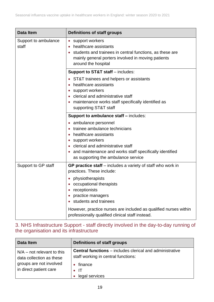| <b>Data Item</b>              | Definitions of staff groups                                                                                                                                                                                                                     |
|-------------------------------|-------------------------------------------------------------------------------------------------------------------------------------------------------------------------------------------------------------------------------------------------|
| Support to ambulance<br>staff | • support workers<br>healthcare assistants<br>students and trainees in central functions, as these are<br>mainly general porters involved in moving patients<br>around the hospital                                                             |
|                               | <b>Support to ST&amp;T staff</b> - includes:                                                                                                                                                                                                    |
|                               | • ST&T trainees and helpers or assistants<br>healthcare assistants<br>support workers<br>clerical and administrative staff<br>• maintenance works staff specifically identified as<br>supporting ST&T staff                                     |
|                               | <b>Support to ambulance staff - includes:</b>                                                                                                                                                                                                   |
|                               | • ambulance personnel<br>trainee ambulance technicians<br>healthcare assistants<br>• support workers<br>• clerical and administrative staff<br>• and maintenance and works staff specifically identified<br>as supporting the ambulance service |
| Support to GP staff           | GP practice staff – includes a variety of staff who work in<br>practices. These include:                                                                                                                                                        |
|                               | physiotherapists<br>$\bullet$<br>occupational therapists<br>receptionists<br>practice managers<br>students and trainees                                                                                                                         |
|                               | However, practice nurses are included as qualified nurses within<br>professionally qualified clinical staff instead.                                                                                                                            |

### 3. NHS Infrastructure Support - staff directly involved in the day-to-day running of the organisation and its infrastructure

| Data Item                                                                                                     | Definitions of staff groups                                                                                                                |
|---------------------------------------------------------------------------------------------------------------|--------------------------------------------------------------------------------------------------------------------------------------------|
| $N/A$ – not relevant to this<br>data collection as these<br>groups are not involved<br>in direct patient care | <b>Central functions</b> – includes clerical and administrative<br>staff working in central functions:<br>finance<br>-IT<br>legal services |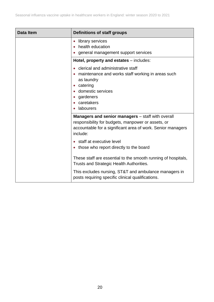| <b>Data Item</b> | <b>Definitions of staff groups</b>                                                                                                                                                        |  |  |
|------------------|-------------------------------------------------------------------------------------------------------------------------------------------------------------------------------------------|--|--|
|                  | library services<br>$\bullet$<br>health education<br>general management support services                                                                                                  |  |  |
|                  | Hotel, property and estates – includes:                                                                                                                                                   |  |  |
|                  | clerical and administrative staff<br>maintenance and works staff working in areas such<br>as laundry<br>catering<br>domestic services<br>gardeners<br>caretakers<br>labourers             |  |  |
|                  | <b>Managers and senior managers</b> – staff with overall<br>responsibility for budgets, manpower or assets, or<br>accountable for a significant area of work. Senior managers<br>include: |  |  |
|                  | staff at executive level<br>those who report directly to the board                                                                                                                        |  |  |
|                  | These staff are essential to the smooth running of hospitals,<br>Trusts and Strategic Health Authorities.                                                                                 |  |  |
|                  | This excludes nursing, ST&T and ambulance managers in<br>posts requiring specific clinical qualifications.                                                                                |  |  |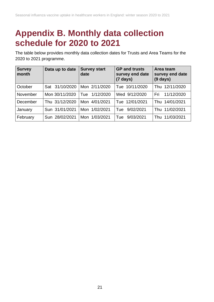## <span id="page-20-0"></span>**Appendix B. Monthly data collection schedule for 2020 to 2021**

The table below provides monthly data collection dates for Trusts and Area Teams for the 2020 to 2021 programme.

| Survey<br>month | Data up to date | <b>Survey start</b><br>date | <b>GP and trusts</b><br>survey end date<br>$(7 \text{ days})$ | Area team<br>survey end date<br>$(9 \text{ days})$ |
|-----------------|-----------------|-----------------------------|---------------------------------------------------------------|----------------------------------------------------|
| October         | Sat 31/10/2020  | Mon 2/11/2020               | Tue 10/11/2020                                                | Thu 12/11/2020                                     |
| November        | Mon 30/11/2020  | 1/12/2020<br>Tue            | Wed 9/12/2020                                                 | 11/12/2020<br>Fri                                  |
| December        | Thu 31/12/2020  | Mon 4/01/2021               | Tue 12/01/2021                                                | Thu 14/01/2021                                     |
| January         | Sun 31/01/2021  | Mon 1/02/2021               | 9/02/2021<br>Tue                                              | Thu 11/02/2021                                     |
| February        | Sun 28/02/2021  | Mon 1/03/2021               | 9/03/2021<br>Tue                                              | Thu 11/03/2021                                     |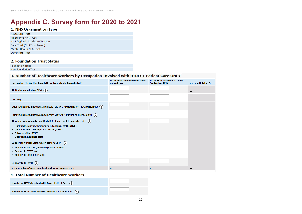# **Appendix C. Survey form for 2020 to 2021**

### <span id="page-21-0"></span>1. NHS Organisation Type

| <b>Acute NHS Trust</b>         |
|--------------------------------|
| <b>Ambulance NHS Trust</b>     |
| NHS England Healthcare Workers |
| Care Trust (NHS Trust based)   |
| <b>Mental Health NHS Trust</b> |
| <b>Other NHS Trust</b>         |
|                                |

### 2. Foundation Trust Status

**Foundation Trust Non-Foundation Trust** 

### 3. Number of Healthcare Workers by Occupation Involved with DIRECT Patient Care ONLY

| Occupation (HCWs that have left the Trust should be excluded)                                                                                                                                                                                                      | No. of HCWs involved with direct<br>patient care | No. of HCWs vaccinated since 1<br>September 2019 | Vaccine Uptake (%)       |
|--------------------------------------------------------------------------------------------------------------------------------------------------------------------------------------------------------------------------------------------------------------------|--------------------------------------------------|--------------------------------------------------|--------------------------|
| All Doctors (excluding GPs) $(i)$                                                                                                                                                                                                                                  |                                                  |                                                  | $- -$                    |
| <b>GPs only</b>                                                                                                                                                                                                                                                    |                                                  |                                                  | $- -$                    |
| Qualified Nurses, midwives and health visitors (excluding GP Practice Nurses) $(i)$                                                                                                                                                                                |                                                  |                                                  | $\overline{\phantom{a}}$ |
| Qualified Nurses, midwives and health visitors (GP Practice Nurses only) $\left(\overline{\mathbf{i}}\right)$                                                                                                                                                      |                                                  |                                                  | $\overline{\phantom{a}}$ |
| All other professionally qualified clinical staff, which comprises of:- $\binom{1}{1}$<br>• Qualified scientific, therapeutic & technical staff (ST&T),<br>• Qualified allied health professionals (AHPs)<br>• Other qualified ST&T<br>• Qualified ambulance staff |                                                  |                                                  |                          |
| Support to Clinical Staff, which comprises of:- $\binom{7}{1}$<br>• Support to doctors (excluding GPs) & nurses<br>• Support to ST&T staff<br>• Support to ambulance staff                                                                                         |                                                  |                                                  | $\overline{\phantom{a}}$ |
| Support to GP staff $(i)$                                                                                                                                                                                                                                          |                                                  |                                                  |                          |
| Total Number of HCWs involved with Direct Patient Care                                                                                                                                                                                                             | $\bf{0}$                                         | $\bf{0}$                                         | $\overline{\phantom{m}}$ |

### 4. Total Number of Healthcare Workers

| Number of HCWs involved with Direct Patient Care $\begin{pmatrix} 1 \end{pmatrix}$ |  |
|------------------------------------------------------------------------------------|--|
| Number of HCWs NOT involved with Direct Patient Care $\binom{7}{1}$                |  |